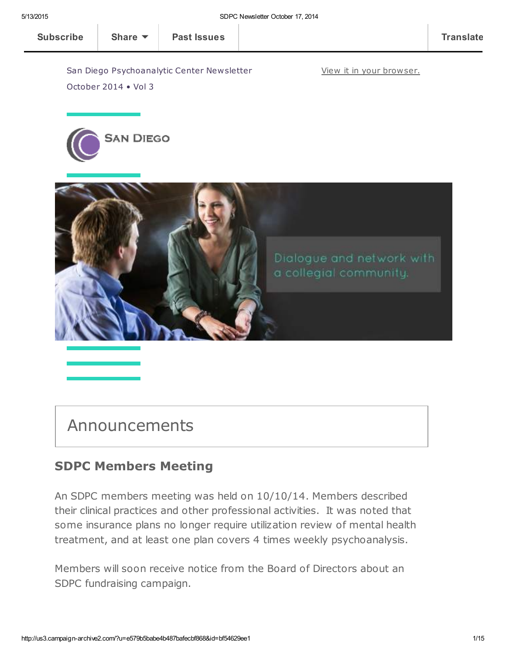View it in your [browser.](http://us3.campaign-archive2.com/?u=e579b5babe4b487bafecbf868&id=bf54629ee1&e=[UNIQID])

[Subscribe](http://eepurl.com/RPzu9) Share ▼ | Past [Issues](http://us3.campaign-archive2.com/home/?u=e579b5babe4b487bafecbf868&id=3cb469b61c) | Translate

San Diego Psychoanalytic Center Newsletter October 2014 • Vol 3





# Announcements

## SDPC Members Meeting

An SDPC members meeting was held on 10/10/14. Members described their clinical practices and other professional activities. It was noted that some insurance plans no longer require utilization review of mental health treatment, and at least one plan covers 4 times weekly psychoanalysis.

Members will soon receive notice from the Board of Directors about an SDPC fundraising campaign.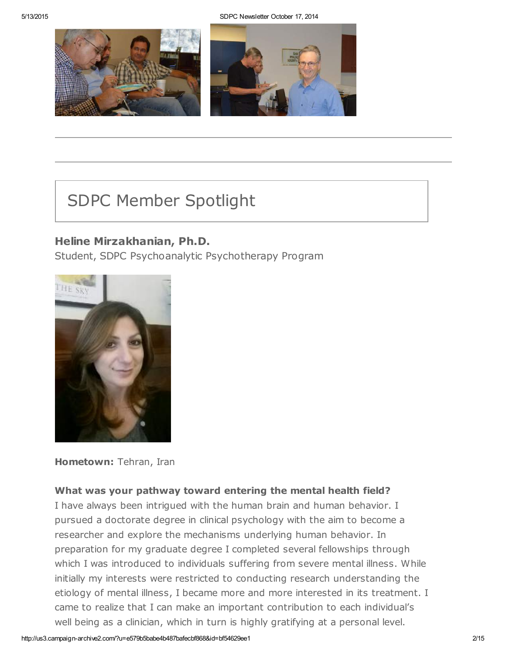5/13/2015 SDPC Newsletter October 17, 2014



# SDPC Member Spotlight

## Heline Mirzakhanian, Ph.D.

Student, SDPC Psychoanalytic Psychotherapy Program



Hometown: Tehran, Iran

## What was your pathway toward entering the mental health field?

I have always been intrigued with the human brain and human behavior. I pursued a doctorate degree in clinical psychology with the aim to become a researcher and explore the mechanisms underlying human behavior. In preparation for my graduate degree I completed several fellowships through which I was introduced to individuals suffering from severe mental illness. While initially my interests were restricted to conducting research understanding the etiology of mental illness, I became more and more interested in its treatment. I came to realize that I can make an important contribution to each individual's well being as a clinician, which in turn is highly gratifying at a personal level.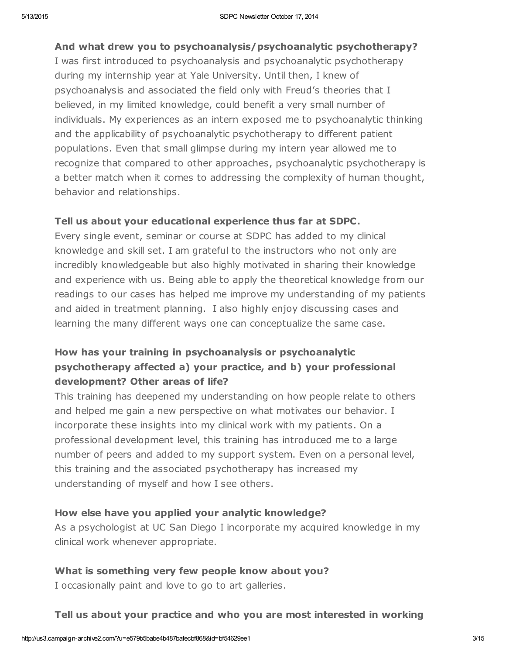## And what drew you to psychoanalysis/psychoanalytic psychotherapy?

I was first introduced to psychoanalysis and psychoanalytic psychotherapy during my internship year at Yale University. Until then, I knew of psychoanalysis and associated the field only with Freud's theories that I believed, in my limited knowledge, could benefit a very small number of individuals. My experiences as an intern exposed me to psychoanalytic thinking and the applicability of psychoanalytic psychotherapy to different patient populations. Even that small glimpse during my intern year allowed me to recognize that compared to other approaches, psychoanalytic psychotherapy is a better match when it comes to addressing the complexity of human thought, behavior and relationships.

## Tell us about your educational experience thus far at SDPC.

Every single event, seminar or course at SDPC has added to my clinical knowledge and skill set. I am grateful to the instructors who not only are incredibly knowledgeable but also highly motivated in sharing their knowledge and experience with us. Being able to apply the theoretical knowledge from our readings to our cases has helped me improve my understanding of my patients and aided in treatment planning. I also highly enjoy discussing cases and learning the many different ways one can conceptualize the same case.

## How has your training in psychoanalysis or psychoanalytic psychotherapy affected a) your practice, and b) your professional development? Other areas of life?

This training has deepened my understanding on how people relate to others and helped me gain a new perspective on what motivates our behavior. I incorporate these insights into my clinical work with my patients. On a professional development level, this training has introduced me to a large number of peers and added to my support system. Even on a personal level, this training and the associated psychotherapy has increased my understanding of myself and how I see others.

## How else have you applied your analytic knowledge?

As a psychologist at UC San Diego I incorporate my acquired knowledge in my clinical work whenever appropriate.

## What is something very few people know about you?

I occasionally paint and love to go to art galleries.

## Tell us about your practice and who you are most interested in working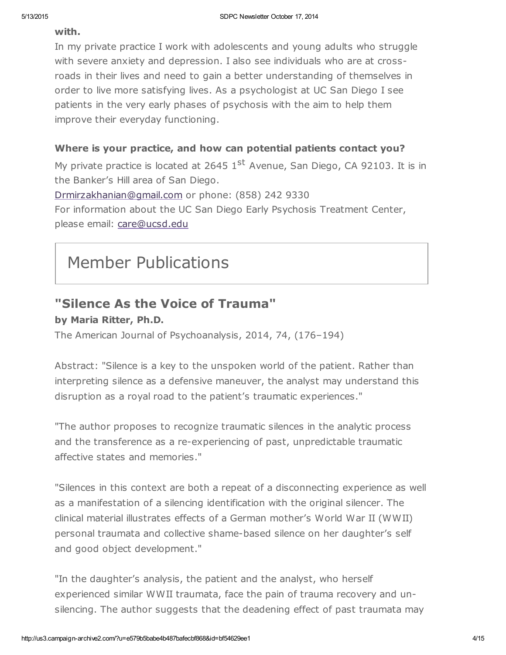#### with.

In my private practice I work with adolescents and young adults who struggle with severe anxiety and depression. I also see individuals who are at crossroads in their lives and need to gain a better understanding of themselves in order to live more satisfying lives. As a psychologist at UC San Diego I see patients in the very early phases of psychosis with the aim to help them improve their everyday functioning.

## Where is your practice, and how can potential patients contact you?

My private practice is located at 2645  $1<sup>st</sup>$  Avenue, San Diego, CA 92103. It is in the Banker's Hill area of San Diego.

[Drmirzakhanian@gmail.com](mailto:Drmirzakhanian@gmail.com) or phone: (858) 242 9330 For information about the UC San Diego Early Psychosis Treatment Center, please email: [care@ucsd.edu](mailto:care@ucsd.edu)

# Member Publications

## "Silence As the Voice of Trauma"

by Maria Ritter, Ph.D.

The American Journal of Psychoanalysis, 2014, 74, (176–194)

Abstract: "Silence is a key to the unspoken world of the patient. Rather than interpreting silence as a defensive maneuver, the analyst may understand this disruption as a royal road to the patient's traumatic experiences."

"The author proposes to recognize traumatic silences in the analytic process and the transference as a re-experiencing of past, unpredictable traumatic affective states and memories."

"Silences in this context are both a repeat of a disconnecting experience as well as a manifestation of a silencing identification with the original silencer. The clinical material illustrates effects of a German mother's World War II (WWII) personal traumata and collective shame-based silence on her daughter's self and good object development."

"In the daughter's analysis, the patient and the analyst, who herself experienced similar WWII traumata, face the pain of trauma recovery and unsilencing. The author suggests that the deadening effect of past traumata may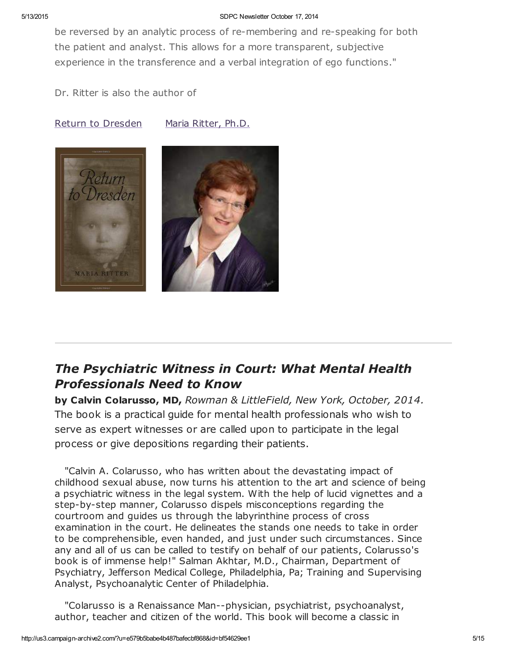#### 5/13/2015 SDPC Newsletter October 17, 2014

be reversed by an analytic process of re-membering and re-speaking for both the patient and analyst. This allows for a more transparent, subjective experience in the transference and a verbal integration of ego functions."

Dr. Ritter is also the author of

#### Return to [Dresden](http://www.amazon.com/Return-Dresden-Maria-Ritter/dp/1578065968) Maria [Ritter,](http://www.sdpsychoanalyticcenter.org/members/profiles/3#profile-main) Ph.D.



## The Psychiatric Witness in Court: What Mental Health Professionals Need to Know

by Calvin Colarusso, MD, Rowman & LittleField, New York, October, 2014. The book is a practical guide for mental health professionals who wish to serve as expert witnesses or are called upon to participate in the legal process or give depositions regarding their patients.

"Calvin A. Colarusso, who has written about the devastating impact of childhood sexual abuse, now turns his attention to the art and science of being a psychiatric witness in the legal system. With the help of lucid vignettes and a step-by-step manner, Colarusso dispels misconceptions regarding the courtroom and guides us through the labyrinthine process of cross examination in the court. He delineates the stands one needs to take in order to be comprehensible, even handed, and just under such circumstances. Since any and all of us can be called to testify on behalf of our patients, Colarusso's book is of immense help!" Salman Akhtar, M.D., Chairman, Department of Psychiatry, Jefferson Medical College, Philadelphia, Pa; Training and Supervising Analyst, Psychoanalytic Center of Philadelphia.

"Colarusso is a Renaissance Man--physician, psychiatrist, psychoanalyst, author, teacher and citizen of the world. This book will become a classic in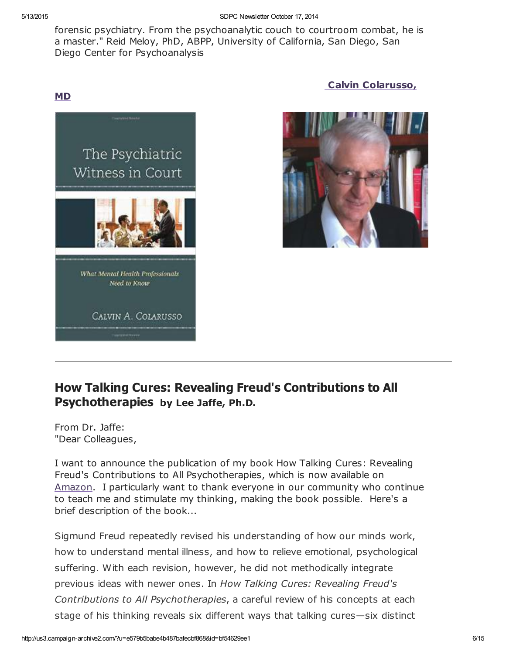forensic psychiatry. From the psychoanalytic couch to courtroom combat, he is a master." Reid Meloy, PhD, ABPP, University of California, San Diego, San Diego Center for Psychoanalysis

## MD

Calvin [Colarusso,](http://www.sdpsychoanalyticcenter.org/members/profiles/20#profile-main)





## How Talking Cures: Revealing Freud's Contributions to All Psychotherapies by Lee Jaffe, Ph.D.

From Dr. Jaffe: "Dear Colleagues,

I want to announce the publication of my book How Talking Cures: Revealing Freud's Contributions to All Psychotherapies, which is now available on [Amazon.](http://www.amazon.com/Talking-Cures-Psychotherapies-Dialog---Freud/dp/1442239891/ref=sr_1_1?ie=UTF8&qid=1409944425&sr=8-1&keywords=talking+cures+lee+jaffe) I particularly want to thank everyone in our community who continue to teach me and stimulate my thinking, making the book possible. Here's a brief description of the book...

Sigmund Freud repeatedly revised his understanding of how our minds work, how to understand mental illness, and how to relieve emotional, psychological suffering. With each revision, however, he did not methodically integrate previous ideas with newer ones. In How Talking Cures: Revealing Freud's Contributions to All Psychotherapies, a careful review of his concepts at each stage of his thinking reveals six different ways that talking cures—six distinct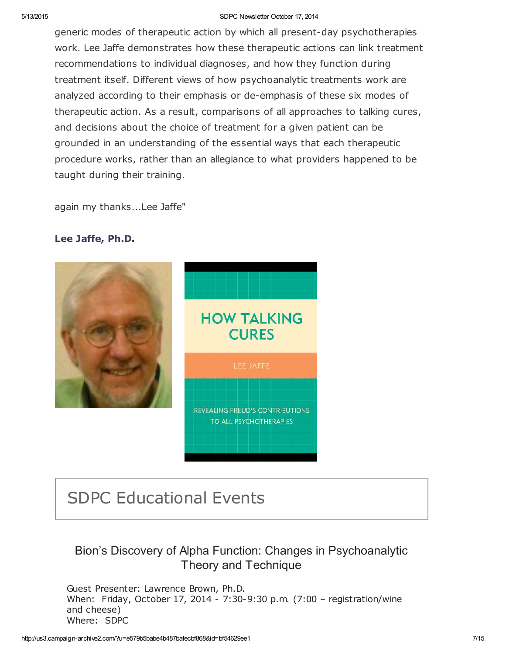#### 5/13/2015 SDPC Newsletter October 17, 2014

generic modes of therapeutic action by which all present-day psychotherapies work. Lee Jaffe demonstrates how these therapeutic actions can link treatment recommendations to individual diagnoses, and how they function during treatment itself. Different views of how psychoanalytic treatments work are analyzed according to their emphasis or de-emphasis of these six modes of therapeutic action. As a result, comparisons of all approaches to talking cures, and decisions about the choice of treatment for a given patient can be grounded in an understanding of the essential ways that each therapeutic procedure works, rather than an allegiance to what providers happened to be taught during their training.

again my thanks...Lee Jaffe"

## Lee [Jaffe,](http://www.sdpsychoanalyticcenter.org/members/profiles/10#profile-main) Ph.D.



# SDPC Educational Events

## Bion's Discovery of Alpha Function: Changes in Psychoanalytic Theory and Technique

Guest Presenter: Lawrence Brown, Ph.D. When: Friday, October 17, 2014 - 7:30-9:30 p.m. (7:00 – registration/wine and cheese) Where: SDPC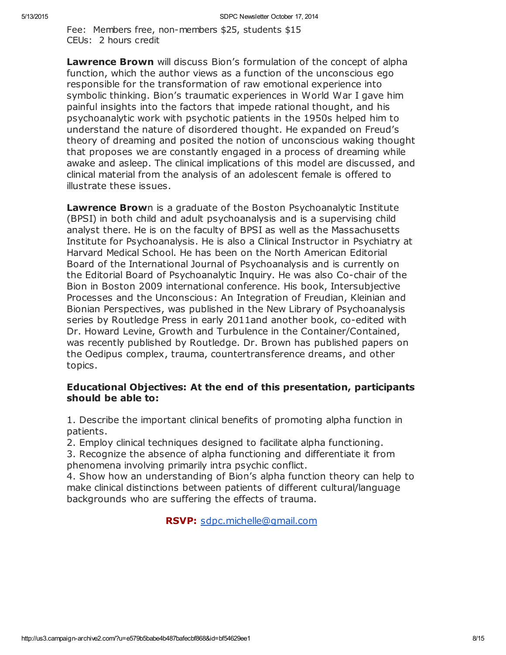Fee: Members free, non-members \$25, students \$15 CEUs: 2 hours credit

Lawrence Brown will discuss Bion's formulation of the concept of alpha function, which the author views as a function of the unconscious ego responsible for the transformation of raw emotional experience into symbolic thinking. Bion's traumatic experiences in World War I gave him painful insights into the factors that impede rational thought, and his psychoanalytic work with psychotic patients in the 1950s helped him to understand the nature of disordered thought. He expanded on Freud's theory of dreaming and posited the notion of unconscious waking thought that proposes we are constantly engaged in a process of dreaming while awake and asleep. The clinical implications of this model are discussed, and clinical material from the analysis of an adolescent female is offered to illustrate these issues.

Lawrence Brown is a graduate of the Boston Psychoanalytic Institute (BPSI) in both child and adult psychoanalysis and is a supervising child analyst there. He is on the faculty of BPSI as well as the Massachusetts Institute for Psychoanalysis. He is also a Clinical Instructor in Psychiatry at Harvard Medical School. He has been on the North American Editorial Board of the International Journal of Psychoanalysis and is currently on the Editorial Board of Psychoanalytic Inquiry. He was also Co-chair of the Bion in Boston 2009 international conference. His book, Intersubjective Processes and the Unconscious: An Integration of Freudian, Kleinian and Bionian Perspectives, was published in the New Library of Psychoanalysis series by Routledge Press in early 2011and another book, co-edited with Dr. Howard Levine, Growth and Turbulence in the Container/Contained, was recently published by Routledge. Dr. Brown has published papers on the Oedipus complex, trauma, countertransference dreams, and other topics.

## Educational Objectives: At the end of this presentation, participants should be able to:

1. Describe the important clinical benefits of promoting alpha function in patients.

2. Employ clinical techniques designed to facilitate alpha functioning.

3. Recognize the absence of alpha functioning and differentiate it from phenomena involving primarily intra psychic conflict.

4. Show how an understanding of Bion's alpha function theory can help to make clinical distinctions between patients of different cultural/language backgrounds who are suffering the effects of trauma.

RSVP: [sdpc.michelle@gmail.com](mailto:sdpc.michelle@gmail.com)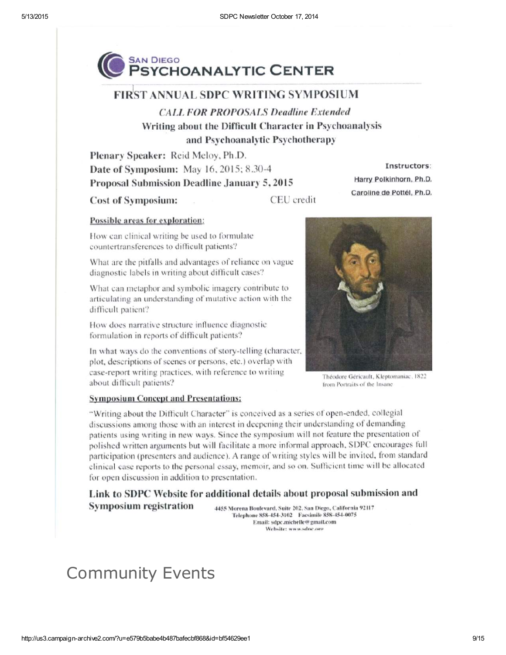

## **FIRST ANNUAL SDPC WRITING SYMPOSIUM**

**CALL FOR PROPOSALS Deadline Extended** Writing about the Difficult Character in Psychoanalysis and Psychoanalytic Psychotherapy

Plenary Speaker: Reid Meloy, Ph.D. Date of Symposium: May 16, 2015; 8.30-4 Proposal Submission Deadline January 5, 2015

**Cost of Symposium:** 

CEU credit

#### Possible areas for exploration:

How can clinical writing be used to formulate countertransferences to difficult patients?

What are the pitfalls and advantages of reliance on vague diagnostic labels in writing about difficult cases?

What can metaphor and symbolic imagery contribute to articulating an understanding of mutative action with the difficult patient?

How does narrative structure influence diagnostic formulation in reports of difficult patients?

In what ways do the conventions of story-telling (character, plot, descriptions of scenes or persons, etc.) overlap with case-report writing practices, with reference to writing about difficult patients?

Instructors:

Harry Polkinhorn, Ph.D.

Caroline de Pottél, Ph.D.

Théodore Géricault, Kleptomaniac, 1822 from Portraits of the Insane

#### **Symposium Concept and Presentations:**

"Writing about the Difficult Character" is conceived as a series of open-ended, collegial discussions among those with an interest in deepening their understanding of demanding patients using writing in new ways. Since the symposium will not feature the presentation of polished written arguments but will facilitate a more informal approach, SDPC encourages full participation (presenters and audience). A range of writing styles will be invited, from standard clinical case reports to the personal essay, memoir, and so on. Sufficient time will be allocated for open discussion in addition to presentation.

Link to SDPC Website for additional details about proposal submission and **Symposium registration** 4455 Morena Boulevard, Suite 202, San Diego, California 92117

Telephone 858-454-3102 Facsimile 858-454-0075 Email: sdpc.michelle@gmail.com Website: www.sdnc.oro

# Community Events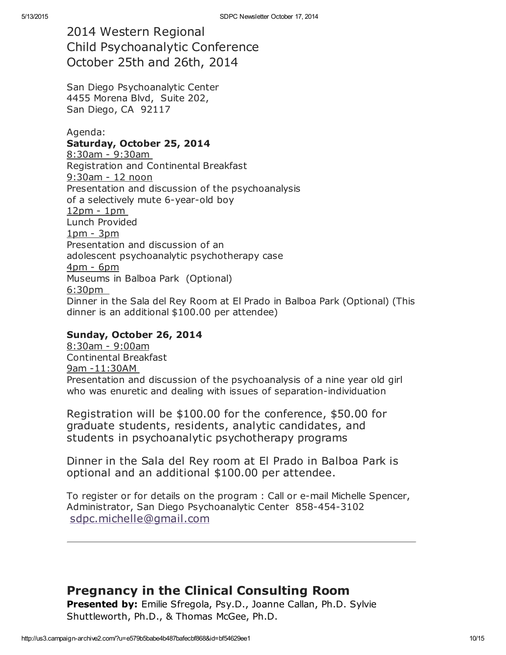2014 Western Regional Child Psychoanalytic Conference October 25th and 26th, 2014

San Diego Psychoanalytic Center 4455 Morena Blvd, Suite 202, San Diego, CA 92117

Agenda:

#### Saturday, October 25, 2014

8:30am - 9:30am Registration and Continental Breakfast 9:30am - 12 noon Presentation and discussion of the psychoanalysis of a selectively mute 6-year-old boy 12pm - 1pm Lunch Provided 1pm - 3pm Presentation and discussion of an adolescent psychoanalytic psychotherapy case 4pm - 6pm Museums in Balboa Park (Optional) 6:30pm Dinner in the Sala del Rey Room at El Prado in Balboa Park (Optional) (This dinner is an additional \$100.00 per attendee)

#### Sunday, October 26, 2014

8:30am - 9:00am Continental Breakfast 9am -11:30AM Presentation and discussion of the psychoanalysis of a nine year old girl who was enuretic and dealing with issues of separation-individuation

Registration will be \$100.00 for the conference, \$50.00 for graduate students, residents, analytic candidates, and students in psychoanalytic psychotherapy programs

Dinner in the Sala del Rey room at El Prado in Balboa Park is optional and an additional \$100.00 per attendee.

To register or for details on the program : Call or e-mail Michelle Spencer, Administrator, San Diego Psychoanalytic Center 858-454-3102 [sdpc.michelle@gmail.com](mailto:sdpc.michelle@gmail.com?subject=Western%20Regional%20Child%20Psychoanalytic%20Conference)

## Pregnancy in the Clinical Consulting Room

Presented by: Emilie Sfregola, Psy.D., Joanne Callan, Ph.D. Sylvie Shuttleworth, Ph.D., & Thomas McGee, Ph.D.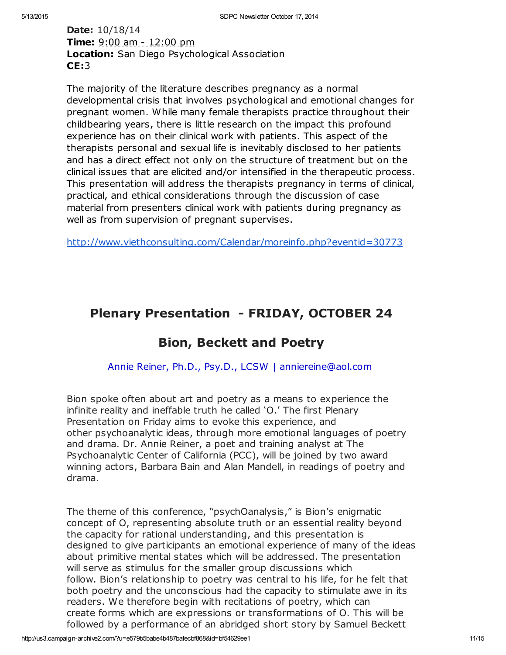## Date: 10/18/14 **Time:** 9:00 am - 12:00 pm Location: San Diego Psychological Association CE:3

The majority of the literature describes pregnancy as a normal developmental crisis that involves psychological and emotional changes for pregnant women. While many female therapists practice throughout their childbearing years, there is little research on the impact this profound experience has on their clinical work with patients. This aspect of the therapists personal and sexual life is inevitably disclosed to her patients and has a direct effect not only on the structure of treatment but on the clinical issues that are elicited and/or intensified in the therapeutic process. This presentation will address the therapists pregnancy in terms of clinical, practical, and ethical considerations through the discussion of case material from presenters clinical work with patients during pregnancy as well as from supervision of pregnant supervises.

<http://www.viethconsulting.com/Calendar/moreinfo.php?eventid=30773>

## Plenary Presentation - FRIDAY, OCTOBER 24

## Bion, Beckett and Poetry

Annie Reiner, Ph.D., Psy.D., LCSW | anniereine@aol.com

Bion spoke often about art and poetry as a means to experience the infinite reality and ineffable truth he called 'O.' The first Plenary Presentation on Friday aims to evoke this experience, and other psychoanalytic ideas, through more emotional languages of poetry and drama. Dr. Annie Reiner, a poet and training analyst at The Psychoanalytic Center of California (PCC), will be joined by two award winning actors, Barbara Bain and Alan Mandell, in readings of poetry and drama.

The theme of this conference, "psychOanalysis," is Bion's enigmatic concept of O, representing absolute truth or an essential reality beyond the capacity for rational understanding, and this presentation is designed to give participants an emotional experience of many of the ideas about primitive mental states which will be addressed. The presentation will serve as stimulus for the smaller group discussions which follow. Bion's relationship to poetry was central to his life, for he felt that both poetry and the unconscious had the capacity to stimulate awe in its readers. We therefore begin with recitations of poetry, which can create forms which are expressions or transformations of O. This will be followed by a performance of an abridged short story by Samuel Beckett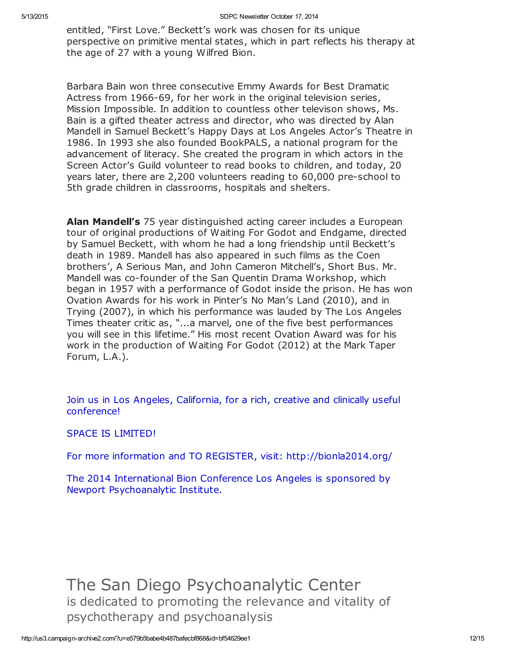entitled, "First Love." Beckett's work was chosen for its unique perspective on primitive mental states, which in part reflects his therapy at the age of 27 with a young Wilfred Bion.

Barbara Bain won three consecutive Emmy Awards for Best Dramatic Actress from 1966-69, for her work in the original television series, Mission Impossible. In addition to countless other televison shows, Ms. Bain is a gifted theater actress and director, who was directed by Alan Mandell in Samuel Beckett's Happy Days at Los Angeles Actor's Theatre in 1986. In 1993 she also founded BookPALS, a national program for the advancement of literacy. She created the program in which actors in the Screen Actor's Guild volunteer to read books to children, and today, 20 years later, there are 2,200 volunteers reading to 60,000 pre-school to 5th grade children in classrooms, hospitals and shelters.

Alan Mandell's 75 year distinguished acting career includes a European tour of original productions of Waiting For Godot and Endgame, directed by Samuel Beckett, with whom he had a long friendship until Beckett's death in 1989. Mandell has also appeared in such films as the Coen brothers', A Serious Man, and John Cameron Mitchell's, Short Bus. Mr. Mandell was co-founder of the San Quentin Drama Workshop, which began in 1957 with a performance of Godot inside the prison. He has won Ovation Awards for his work in Pinter's No Man's Land (2010), and in Trying (2007), in which his performance was lauded by The Los Angeles Times theater critic as, "...a marvel, one of the five best performances you will see in this lifetime." His most recent Ovation Award was for his work in the production of Waiting For Godot (2012) at the Mark Taper Forum, L.A.).

Join us in Los Angeles, California, for a rich, creative and clinically useful conference!

SPACE IS LIMITED!

For more information and TO REGISTER, visit: http://bionla2014.org/

The 2014 International Bion Conference Los Angeles is sponsored by Newport Psychoanalytic Institute.

The San Diego Psychoanalytic Center is dedicated to promoting the relevance and vitality of psychotherapy and psychoanalysis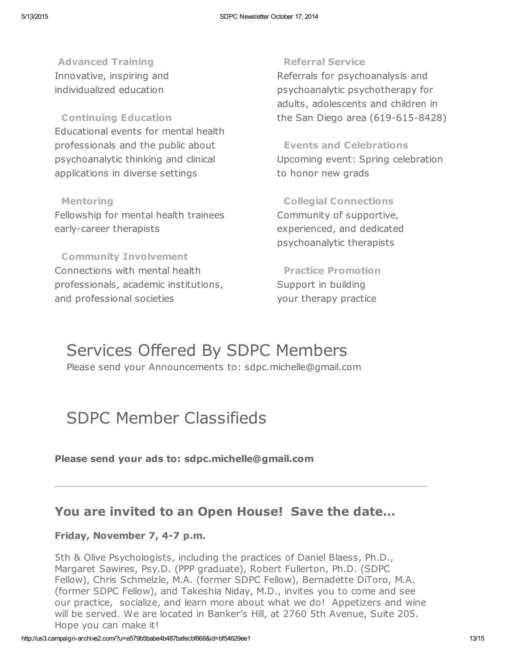Advanced Training Innovative, inspiring and individualized education

Continuing Education Educational events for mental health professionals and the public about psychoanalytic thinking and clinical applications in diverse settings

Mentoring Fellowship for mental health trainees early-career therapists

Community Involvement Connections with mental health professionals, academic institutions, and professional societies

#### Referral Service

Referrals for psychoanalysis and psychoanalytic psychotherapy for adults, adolescents and children in the San Diego area (619-615-8428)

Events and Celebrations Upcoming event: Spring celebration to honor new grads

Collegial Connections Community of supportive, experienced, and dedicated psychoanalytic therapists

Practice Promotion Support in building your therapy practice

# Services Offered By SDPC Members

Please send your Announcements to: sdpc.michelle@gmail.com

# SDPC Member Classifieds

Please send your ads to: sdpc.michelle@gmail.com

## You are invited to an Open House! Save the date…

## Friday, November 7, 4-7 p.m.

5th & Olive Psychologists, including the practices of Daniel Blaess, Ph.D., Margaret Sawires, Psy.D. (PPP graduate), Robert Fullerton, Ph.D. (SDPC Fellow), Chris Schmelzle, M.A. (former SDPC Fellow), Bernadette DiToro, M.A. (former SDPC Fellow), and Takeshia Niday, M.D., invites you to come and see our practice, socialize, and learn more about what we do! Appetizers and wine will be served. We are located in Banker's Hill, at 2760 5th Avenue, Suite 205. Hope you can make it!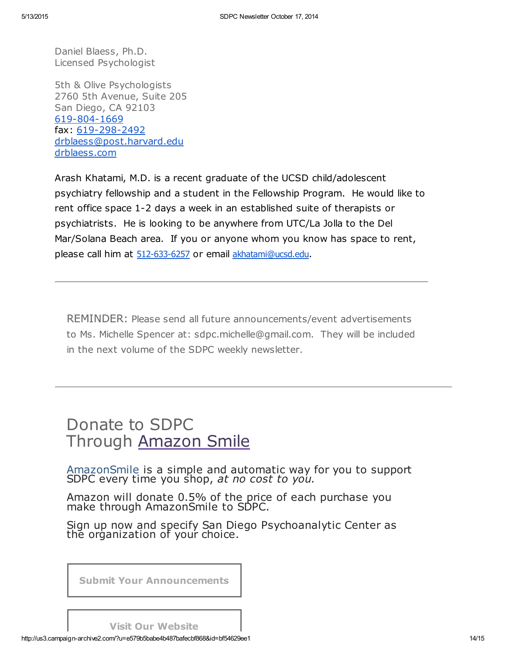Daniel Blaess, Ph.D. Licensed Psychologist

5th & Olive Psychologists 2760 5th Avenue, Suite 205 San Diego, CA 92103 [619-804-1669](tel:619-804-1669) fax: [619-298-2492](tel:619-298-2492) [drblaess@post.harvard.edu](mailto:drblaess@post.harvard.edu) [drblaess.com](http://drblaess.com/)

Arash Khatami, M.D. is a recent graduate of the UCSD child/adolescent psychiatry fellowship and a student in the Fellowship Program. He would like to rent office space 1-2 days a week in an established suite of therapists or psychiatrists. He is looking to be anywhere from UTC/La Jolla to the Del Mar/Solana Beach area. If you or anyone whom you know has space to rent, please call him at [512-633-6257](tel:512-633-6257) or email [akhatami@ucsd.edu](mailto:akhatami@ucsd.edu).

REMINDER: Please send all future announcements/event advertisements to Ms. Michelle Spencer at: sdpc.michelle@gmail.com. They will be included in the next volume of the SDPC weekly newsletter.

# Donate to SDPC Through [Amazon](http://www.sdpsychoanalyticcenter.org/node/395#overlay-context=node/395) Smile

[AmazonSmile](http://smile.amazon.com/about) is a simple and automatic way for you to support SDPC every time you shop, at no cost to you.

Amazon will donate 0.5% of the price of each purchase you make through AmazonSmile to SDPC.

Sign up now and specify San Diego Psychoanalytic Center as the organization of your choice.

Submit Your [Announcements](mailto:sdpc.michelle@gmail.com?subject=Announcement%20for%20next%20edition%20of%20SDPC%20newsletter&body=To%20the%20Editor%2C%20SDPC%20newsletter%0A%0APlease%20include%20the%20information%20below%20in%20the%20next%20issue%20of%20the%20SDPC%20newsletter.%20%0AThank%20you.%20%0A%0AFull%20Name%3A%20%0AEmail%3A%20%0APhone%3A%20%0A%0A____________%0A%0AAnnouncement%2F%20News%2F%20Wanted%20(e.g.%2C%20office%20to%20share))

Visit Our [Website](http://www.sdpsychoanalyticcenter.org/)

http://us3.campaign-archive2.com/?u=e579b5babe4b487bafecbf868&id=bf54629ee1 14/15